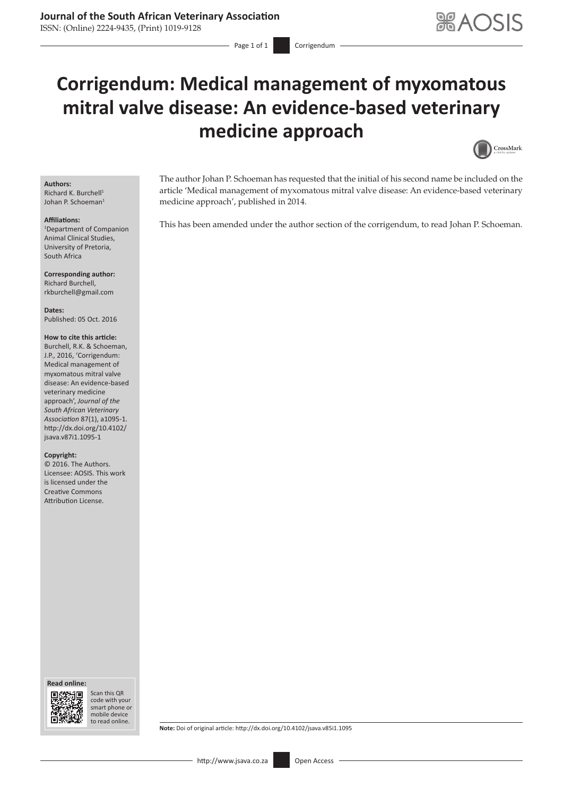# **Journal of the South African Veterinary Association**

ISSN: (Online) 2224-9435, (Print) 1019-9128

# **Corrigendum: Medical management of myxomatous mitral valve disease: An evidence-based veterinary medicine approach**



### **Authors:**

Richard K. Burchell<sup>1</sup> Johan P. Schoeman<sup>1</sup>

#### **Affiliations:**

1 Department of Companion Animal Clinical Studies, University of Pretoria, South Africa

**Corresponding author:** Richard Burchell, [rkburchell@gmail.com](mailto:rkburchell@gmail.com)

**Dates:** Published: 05 Oct. 2016

### **How to cite this article:**

Burchell, R.K. & Schoeman, J.P., 2016, 'Corrigendum: Medical management of myxomatous mitral valve disease: An evidence-based veterinary medicine approach', *Journal of the South African Veterinary Association* 87(1), a1095-1. [http://dx.doi.org/10.4102/](http://dx.doi.org/10.4102/jsava.v87i1.1095-1) [jsava.v87i1.1095-1](http://dx.doi.org/10.4102/jsava.v87i1.1095-1)

#### **Copyright:**

© 2016. The Authors. Licensee: AOSIS. This work is licensed under the Creative Commons Attribution License.

**Read online: Read** 



Scan this QR Scan this QR<br>code with your smart phone or smart phone or mobile mobile device to read online. to read online.

The author Johan P. Schoeman has requested that the initial of his second name be included on the article 'Medical management of myxomatous mitral valve disease: An evidence-based veterinary medicine approach', published in 2014.

This has been amended under the author section of the corrigendum, to read Johan P. Schoeman.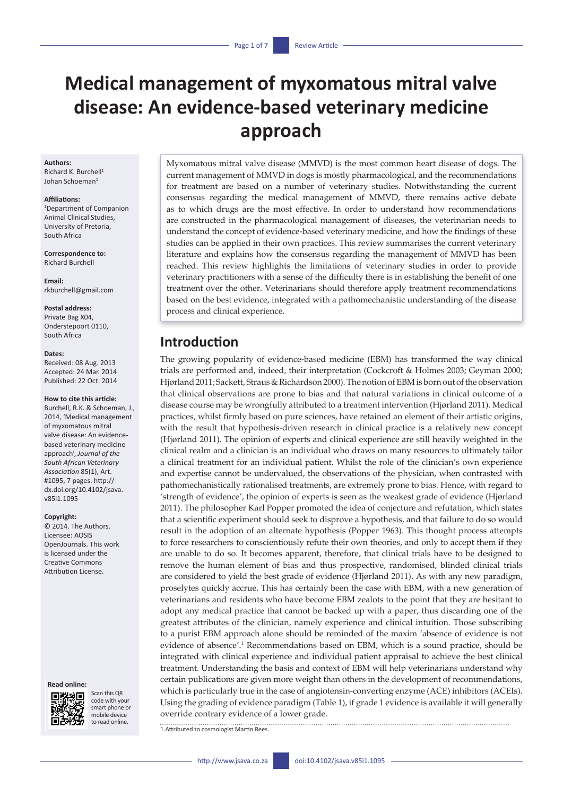# **Medical management of myxomatous mitral valve disease: An evidence-based veterinary medicine approach**

#### **Authors:**

Richard K. Burchell<sup>1</sup> Johan Schoeman<sup>1</sup>

#### **Affiliations:**

1 Department of Companion Animal Clinical Studies, University of Pretoria, South Africa

**Correspondence to:** Richard Burchell

**Email:** [rkburchell@gmail.com](mailto:rkburchell@gmail.com)

### **Postal address:**

Private Bag X04, Onderstepoort 0110, South Africa

#### **Dates:**

Received: 08 Aug. 2013 Accepted: 24 Mar. 2014 Published: 22 Oct. 2014

### **How to cite this article:**

Burchell, R.K. & Schoeman, J., 2014, 'Medical management of myxomatous mitral valve disease: An evidencebased veterinary medicine approach', *Journal of the South African Veterinary Association* 85(1), Art. #1095, 7 pages. [http://](http://dx.doi.org/10.4102/jsava.v85i1.1095) [dx.doi.org/10.4102/jsava.](http://dx.doi.org/10.4102/jsava.v85i1.1095) [v85i1.1095](http://dx.doi.org/10.4102/jsava.v85i1.1095)

#### **Copyright:**

© 2014. The Authors. Licensee: AOSIS OpenJournals. This work is licensed under the Creative Commons Attribution License.

#### **Read online:**



Scan this QR code with your smart phone or mobile device to read online.

Myxomatous mitral valve disease (MMVD) is the most common heart disease of dogs. The current management of MMVD in dogs is mostly pharmacological, and the recommendations for treatment are based on a number of veterinary studies. Notwithstanding the current consensus regarding the medical management of MMVD, there remains active debate as to which drugs are the most effective. In order to understand how recommendations are constructed in the pharmacological management of diseases, the veterinarian needs to understand the concept of evidence-based veterinary medicine, and how the findings of these studies can be applied in their own practices. This review summarises the current veterinary literature and explains how the consensus regarding the management of MMVD has been reached. This review highlights the limitations of veterinary studies in order to provide veterinary practitioners with a sense of the difficulty there is in establishing the benefit of one treatment over the other. Veterinarians should therefore apply treatment recommendations based on the best evidence, integrated with a pathomechanistic understanding of the disease process and clinical experience.

# **Introduction**

The growing popularity of evidence-based medicine (EBM) has transformed the way clinical trials are performed and, indeed, their interpretation (Cockcroft & Holmes 2003; Geyman 2000; Hjørland 2011; Sackett, Straus & Richardson 2000). The notion of EBM is born out of the observation that clinical observations are prone to bias and that natural variations in clinical outcome of a disease course may be wrongfully attributed to a treatment intervention (Hjørland 2011). Medical practices, whilst firmly based on pure sciences, have retained an element of their artistic origins, with the result that hypothesis-driven research in clinical practice is a relatively new concept (Hjørland 2011). The opinion of experts and clinical experience are still heavily weighted in the clinical realm and a clinician is an individual who draws on many resources to ultimately tailor a clinical treatment for an individual patient. Whilst the role of the clinician's own experience and expertise cannot be undervalued, the observations of the physician, when contrasted with pathomechanistically rationalised treatments, are extremely prone to bias. Hence, with regard to 'strength of evidence', the opinion of experts is seen as the weakest grade of evidence (Hjørland 2011). The philosopher Karl Popper promoted the idea of conjecture and refutation, which states that a scientific experiment should seek to disprove a hypothesis, and that failure to do so would result in the adoption of an alternate hypothesis (Popper 1963). This thought process attempts to force researchers to conscientiously refute their own theories, and only to accept them if they are unable to do so. It becomes apparent, therefore, that clinical trials have to be designed to remove the human element of bias and thus prospective, randomised, blinded clinical trials are considered to yield the best grade of evidence (Hjørland 2011). As with any new paradigm, proselytes quickly accrue. This has certainly been the case with EBM, with a new generation of veterinarians and residents who have become EBM zealots to the point that they are hesitant to adopt any medical practice that cannot be backed up with a paper, thus discarding one of the greatest attributes of the clinician, namely experience and clinical intuition. Those subscribing to a purist EBM approach alone should be reminded of the maxim 'absence of evidence is not evidence of absence'.<sup>1</sup> Recommendations based on EBM, which is a sound practice, should be integrated with clinical experience and individual patient appraisal to achieve the best clinical treatment. Understanding the basis and context of EBM will help veterinarians understand why certain publications are given more weight than others in the development of recommendations, which is particularly true in the case of angiotensin-converting enzyme (ACE) inhibitors (ACEIs). Using the grading of evidence paradigm (Table 1), if grade 1 evidence is available it will generally override contrary evidence of a lower grade.

1.Attributed to cosmologist Martin Rees.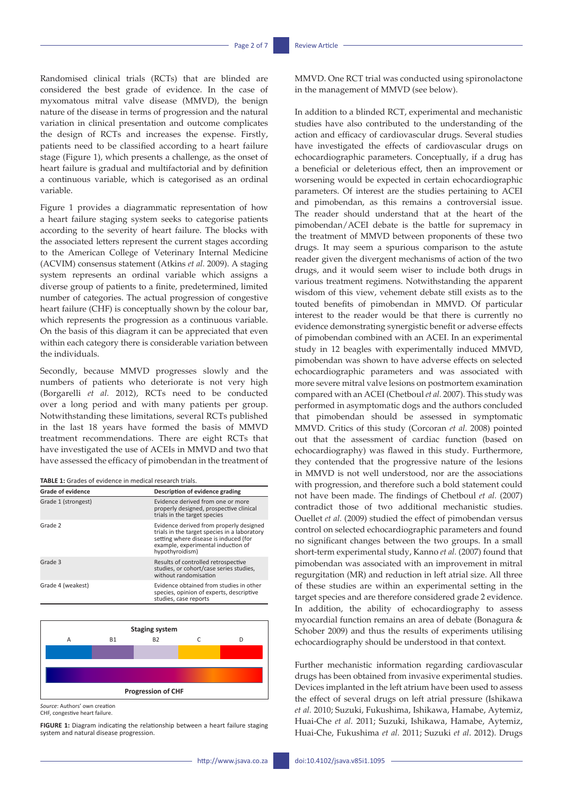Randomised clinical trials (RCTs) that are blinded are considered the best grade of evidence. In the case of myxomatous mitral valve disease (MMVD), the benign nature of the disease in terms of progression and the natural variation in clinical presentation and outcome complicates the design of RCTs and increases the expense. Firstly, patients need to be classified according to a heart failure stage (Figure 1), which presents a challenge, as the onset of heart failure is gradual and multifactorial and by definition a continuous variable, which is categorised as an ordinal variable.

Figure 1 provides a diagrammatic representation of how a heart failure staging system seeks to categorise patients according to the severity of heart failure. The blocks with the associated letters represent the current stages according to the American College of Veterinary Internal Medicine (ACVIM) consensus statement (Atkins *et al.* 2009). A staging system represents an ordinal variable which assigns a diverse group of patients to a finite, predetermined, limited number of categories. The actual progression of congestive heart failure (CHF) is conceptually shown by the colour bar, which represents the progression as a continuous variable. On the basis of this diagram it can be appreciated that even within each category there is considerable variation between the individuals.

Secondly, because MMVD progresses slowly and the numbers of patients who deteriorate is not very high (Borgarelli *et al.* 2012), RCTs need to be conducted over a long period and with many patients per group. Notwithstanding these limitations, several RCTs published in the last 18 years have formed the basis of MMVD treatment recommendations. There are eight RCTs that have investigated the use of ACEIs in MMVD and two that have assessed the efficacy of pimobendan in the treatment of

| <b>TABLE 1:</b> Grades of evidence in medical research trials. |  |  |
|----------------------------------------------------------------|--|--|
|----------------------------------------------------------------|--|--|

| <b>Grade of evidence</b> | Description of evidence grading                                                                                                                                                           |
|--------------------------|-------------------------------------------------------------------------------------------------------------------------------------------------------------------------------------------|
| Grade 1 (strongest)      | Evidence derived from one or more<br>properly designed, prospective clinical<br>trials in the target species                                                                              |
| Grade 2                  | Evidence derived from properly designed<br>trials in the target species in a laboratory<br>setting where disease is induced (for<br>example, experimental induction of<br>hypothyroidism) |
| Grade 3                  | Results of controlled retrospective<br>studies, or cohort/case series studies,<br>without randomisation                                                                                   |
| Grade 4 (weakest)        | Evidence obtained from studies in other<br>species, opinion of experts, descriptive<br>studies, case reports                                                                              |



CHF, congestive heart failure. CHF, congestive heart failure.

FIGURE 1: Diagram indicating the relationship between a heart failure staging<br>system and natural disease progression.

**FIGURE 1:** Diagram indicating the relationship between a heart failure staging system and natural

MMVD. One RCT trial was conducted using spironolactone in the management of MMVD (see below).

In addition to a blinded RCT, experimental and mechanistic studies have also contributed to the understanding of the action and efficacy of cardiovascular drugs. Several studies have investigated the effects of cardiovascular drugs on echocardiographic parameters. Conceptually, if a drug has a beneficial or deleterious effect, then an improvement or worsening would be expected in certain echocardiographic parameters. Of interest are the studies pertaining to ACEI and pimobendan, as this remains a controversial issue. The reader should understand that at the heart of the pimobendan/ACEI debate is the battle for supremacy in the treatment of MMVD between proponents of these two drugs. It may seem a spurious comparison to the astute reader given the divergent mechanisms of action of the two drugs, and it would seem wiser to include both drugs in various treatment regimens. Notwithstanding the apparent wisdom of this view, vehement debate still exists as to the touted benefits of pimobendan in MMVD. Of particular interest to the reader would be that there is currently no evidence demonstrating synergistic benefit or adverse effects of pimobendan combined with an ACEI. In an experimental study in 12 beagles with experimentally induced MMVD, pimobendan was shown to have adverse effects on selected echocardiographic parameters and was associated with more severe mitral valve lesions on postmortem examination compared with an ACEI (Chetboul *et al.* 2007). This study was performed in asymptomatic dogs and the authors concluded that pimobendan should be assessed in symptomatic MMVD. Critics of this study (Corcoran *et al.* 2008) pointed out that the assessment of cardiac function (based on echocardiography) was flawed in this study. Furthermore, they contended that the progressive nature of the lesions in MMVD is not well understood, nor are the associations with progression, and therefore such a bold statement could not have been made. The findings of Chetboul *et al.* (2007) contradict those of two additional mechanistic studies. Ouellet *et al.* (2009) studied the effect of pimobendan versus control on selected echocardiographic parameters and found no significant changes between the two groups. In a small short-term experimental study, Kanno *et al.* (2007) found that pimobendan was associated with an improvement in mitral regurgitation (MR) and reduction in left atrial size. All three of these studies are within an experimental setting in the target species and are therefore considered grade 2 evidence. In addition, the ability of echocardiography to assess myocardial function remains an area of debate (Bonagura & Schober 2009) and thus the results of experiments utilising echocardiography should be understood in that context.

Further mechanistic information regarding cardiovascular drugs has been obtained from invasive experimental studies. Devices implanted in the left atrium have been used to assess the effect of several drugs on left atrial pressure (Ishikawa *et al.* 2010; Suzuki, Fukushima, Ishikawa, Hamabe, Aytemiz, Huai-Che *et al.* 2011; Suzuki, Ishikawa, Hamabe, Aytemiz, Huai-Che, Fukushima *et al.* 2011; Suzuki *et al*. 2012). Drugs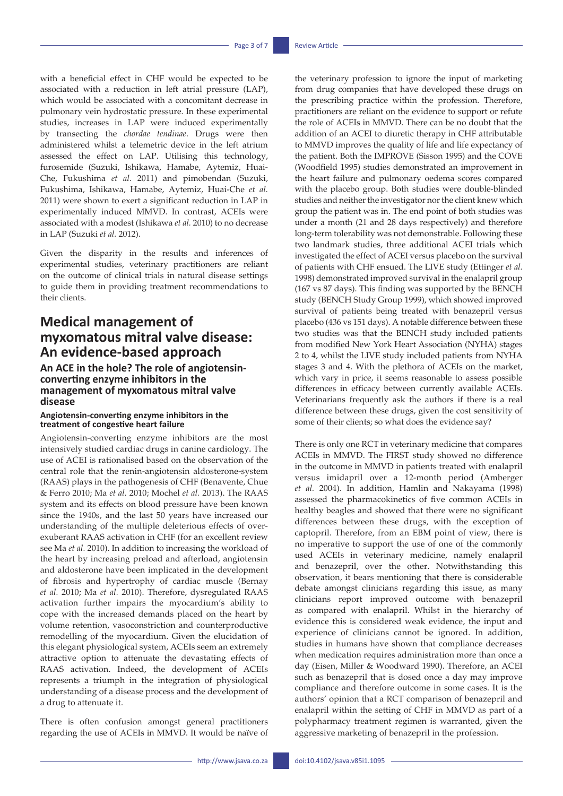with a beneficial effect in CHF would be expected to be associated with a reduction in left atrial pressure (LAP), which would be associated with a concomitant decrease in pulmonary vein hydrostatic pressure. In these experimental studies, increases in LAP were induced experimentally by transecting the *chordae tendinae*. Drugs were then administered whilst a telemetric device in the left atrium assessed the effect on LAP. Utilising this technology, furosemide (Suzuki, Ishikawa, Hamabe, Aytemiz, Huai-Che, Fukushima *et al.* 2011) and pimobendan (Suzuki, Fukushima, Ishikawa, Hamabe, Aytemiz, Huai-Che *et al.*  2011) were shown to exert a significant reduction in LAP in experimentally induced MMVD. In contrast, ACEIs were associated with a modest (Ishikawa *et al.* 2010) to no decrease in LAP (Suzuki *et al.* 2012).

Given the disparity in the results and inferences of experimental studies, veterinary practitioners are reliant on the outcome of clinical trials in natural disease settings to guide them in providing treatment recommendations to their clients.

# **Medical management of myxomatous mitral valve disease: An evidence-based approach**

### **An ACE in the hole? The role of angiotensinconverting enzyme inhibitors in the management of myxomatous mitral valve disease**

### **Angiotensin-converting enzyme inhibitors in the treatment of congestive heart failure**

Angiotensin-converting enzyme inhibitors are the most intensively studied cardiac drugs in canine cardiology. The use of ACEI is rationalised based on the observation of the central role that the renin-angiotensin aldosterone-system (RAAS) plays in the pathogenesis of CHF (Benavente, Chue & Ferro 2010; Ma *et al.* 2010; Mochel *et al.* 2013). The RAAS system and its effects on blood pressure have been known since the 1940s, and the last 50 years have increased our understanding of the multiple deleterious effects of overexuberant RAAS activation in CHF (for an excellent review see Ma *et al.* 2010). In addition to increasing the workload of the heart by increasing preload and afterload, angiotensin and aldosterone have been implicated in the development of fibrosis and hypertrophy of cardiac muscle (Bernay *et al.* 2010; Ma *et al.* 2010). Therefore, dysregulated RAAS activation further impairs the myocardium's ability to cope with the increased demands placed on the heart by volume retention, vasoconstriction and counterproductive remodelling of the myocardium. Given the elucidation of this elegant physiological system, ACEIs seem an extremely attractive option to attenuate the devastating effects of RAAS activation. Indeed, the development of ACEIs represents a triumph in the integration of physiological understanding of a disease process and the development of a drug to attenuate it.

There is often confusion amongst general practitioners regarding the use of ACEIs in MMVD. It would be naïve of the veterinary profession to ignore the input of marketing from drug companies that have developed these drugs on the prescribing practice within the profession. Therefore, practitioners are reliant on the evidence to support or refute the role of ACEIs in MMVD. There can be no doubt that the addition of an ACEI to diuretic therapy in CHF attributable to MMVD improves the quality of life and life expectancy of the patient. Both the IMPROVE (Sisson 1995) and the COVE (Woodfield 1995) studies demonstrated an improvement in the heart failure and pulmonary oedema scores compared with the placebo group. Both studies were double-blinded studies and neither the investigator nor the client knew which group the patient was in. The end point of both studies was under a month (21 and 28 days respectively) and therefore long-term tolerability was not demonstrable. Following these two landmark studies, three additional ACEI trials which investigated the effect of ACEI versus placebo on the survival of patients with CHF ensued. The LIVE study (Ettinger *et al.*  1998) demonstrated improved survival in the enalapril group (167 vs 87 days). This finding was supported by the BENCH study (BENCH Study Group 1999), which showed improved survival of patients being treated with benazepril versus placebo (436 vs 151 days). A notable difference between these two studies was that the BENCH study included patients from modified New York Heart Association (NYHA) stages 2 to 4, whilst the LIVE study included patients from NYHA stages 3 and 4. With the plethora of ACEIs on the market, which vary in price, it seems reasonable to assess possible differences in efficacy between currently available ACEIs. Veterinarians frequently ask the authors if there is a real difference between these drugs, given the cost sensitivity of some of their clients; so what does the evidence say?

There is only one RCT in veterinary medicine that compares ACEIs in MMVD. The FIRST study showed no difference in the outcome in MMVD in patients treated with enalapril versus imidapril over a 12-month period (Amberger *et al.* 2004). In addition, Hamlin and Nakayama (1998) assessed the pharmacokinetics of five common ACEIs in healthy beagles and showed that there were no significant differences between these drugs, with the exception of captopril. Therefore, from an EBM point of view, there is no imperative to support the use of one of the commonly used ACEIs in veterinary medicine, namely enalapril and benazepril, over the other. Notwithstanding this observation, it bears mentioning that there is considerable debate amongst clinicians regarding this issue, as many clinicians report improved outcome with benazepril as compared with enalapril. Whilst in the hierarchy of evidence this is considered weak evidence, the input and experience of clinicians cannot be ignored. In addition, studies in humans have shown that compliance decreases when medication requires administration more than once a day (Eisen, Miller & Woodward 1990). Therefore, an ACEI such as benazepril that is dosed once a day may improve compliance and therefore outcome in some cases. It is the authors' opinion that a RCT comparison of benazepril and enalapril within the setting of CHF in MMVD as part of a polypharmacy treatment regimen is warranted, given the aggressive marketing of benazepril in the profession.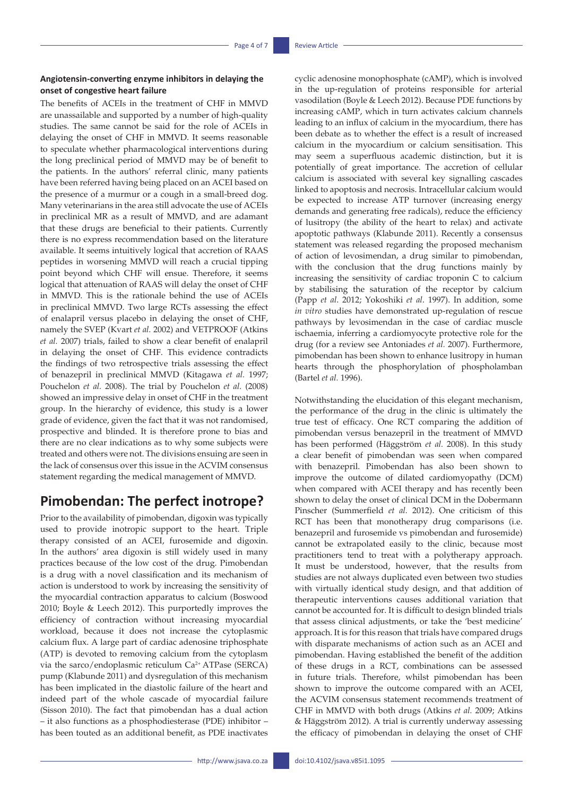### **Angiotensin-converting enzyme inhibitors in delaying the onset of congestive heart failure**

The benefits of ACEIs in the treatment of CHF in MMVD are unassailable and supported by a number of high-quality studies. The same cannot be said for the role of ACEIs in delaying the onset of CHF in MMVD. It seems reasonable to speculate whether pharmacological interventions during the long preclinical period of MMVD may be of benefit to the patients. In the authors' referral clinic, many patients have been referred having being placed on an ACEI based on the presence of a murmur or a cough in a small-breed dog. Many veterinarians in the area still advocate the use of ACEIs in preclinical MR as a result of MMVD, and are adamant that these drugs are beneficial to their patients. Currently there is no express recommendation based on the literature available. It seems intuitively logical that accretion of RAAS peptides in worsening MMVD will reach a crucial tipping point beyond which CHF will ensue. Therefore, it seems logical that attenuation of RAAS will delay the onset of CHF in MMVD. This is the rationale behind the use of ACEIs in preclinical MMVD. Two large RCTs assessing the effect of enalapril versus placebo in delaying the onset of CHF, namely the SVEP (Kvart *et al.* 2002) and VETPROOF (Atkins *et al.* 2007) trials, failed to show a clear benefit of enalapril in delaying the onset of CHF. This evidence contradicts the findings of two retrospective trials assessing the effect of benazepril in preclinical MMVD (Kitagawa *et al.* 1997; Pouchelon *et al.* 2008). The trial by Pouchelon *et al.* (2008) showed an impressive delay in onset of CHF in the treatment group. In the hierarchy of evidence, this study is a lower grade of evidence, given the fact that it was not randomised, prospective and blinded. It is therefore prone to bias and there are no clear indications as to why some subjects were treated and others were not. The divisions ensuing are seen in the lack of consensus over this issue in the ACVIM consensus statement regarding the medical management of MMVD.

# **Pimobendan: The perfect inotrope?**

Prior to the availability of pimobendan, digoxin was typically used to provide inotropic support to the heart. Triple therapy consisted of an ACEI, furosemide and digoxin. In the authors' area digoxin is still widely used in many practices because of the low cost of the drug. Pimobendan is a drug with a novel classification and its mechanism of action is understood to work by increasing the sensitivity of the myocardial contraction apparatus to calcium (Boswood 2010; Boyle & Leech 2012). This purportedly improves the efficiency of contraction without increasing myocardial workload, because it does not increase the cytoplasmic calcium flux. A large part of cardiac adenosine triphosphate (ATP) is devoted to removing calcium from the cytoplasm via the sarco/endoplasmic reticulum Ca<sup>2+</sup> ATPase (SERCA) pump (Klabunde 2011) and dysregulation of this mechanism has been implicated in the diastolic failure of the heart and indeed part of the whole cascade of myocardial failure (Sisson 2010). The fact that pimobendan has a dual action – it also functions as a phosphodiesterase (PDE) inhibitor – has been touted as an additional benefit, as PDE inactivates

cyclic adenosine monophosphate (cAMP), which is involved in the up-regulation of proteins responsible for arterial vasodilation (Boyle & Leech 2012). Because PDE functions by increasing cAMP, which in turn activates calcium channels leading to an influx of calcium in the myocardium, there has been debate as to whether the effect is a result of increased calcium in the myocardium or calcium sensitisation. This may seem a superfluous academic distinction, but it is potentially of great importance. The accretion of cellular calcium is associated with several key signalling cascades linked to apoptosis and necrosis. Intracellular calcium would be expected to increase ATP turnover (increasing energy demands and generating free radicals), reduce the efficiency of lusitropy (the ability of the heart to relax) and activate apoptotic pathways (Klabunde 2011). Recently a consensus statement was released regarding the proposed mechanism of action of levosimendan, a drug similar to pimobendan, with the conclusion that the drug functions mainly by increasing the sensitivity of cardiac troponin C to calcium by stabilising the saturation of the receptor by calcium (Papp *et al*. 2012; Yokoshiki *et al*. 1997). In addition, some *in vitro* studies have demonstrated up-regulation of rescue pathways by levosimendan in the case of cardiac muscle ischaemia, inferring a cardiomyocyte protective role for the drug (for a review see Antoniades *et al.* 2007). Furthermore, pimobendan has been shown to enhance lusitropy in human hearts through the phosphorylation of phospholamban (Bartel *et al.* 1996).

Notwithstanding the elucidation of this elegant mechanism, the performance of the drug in the clinic is ultimately the true test of efficacy. One RCT comparing the addition of pimobendan versus benazepril in the treatment of MMVD has been performed (Häggström *et al.* 2008). In this study a clear benefit of pimobendan was seen when compared with benazepril. Pimobendan has also been shown to improve the outcome of dilated cardiomyopathy (DCM) when compared with ACEI therapy and has recently been shown to delay the onset of clinical DCM in the Dobermann Pinscher (Summerfield *et al.* 2012). One criticism of this RCT has been that monotherapy drug comparisons (i.e. benazepril and furosemide vs pimobendan and furosemide) cannot be extrapolated easily to the clinic, because most practitioners tend to treat with a polytherapy approach. It must be understood, however, that the results from studies are not always duplicated even between two studies with virtually identical study design, and that addition of therapeutic interventions causes additional variation that cannot be accounted for. It is difficult to design blinded trials that assess clinical adjustments, or take the 'best medicine' approach. It is for this reason that trials have compared drugs with disparate mechanisms of action such as an ACEI and pimobendan. Having established the benefit of the addition of these drugs in a RCT, combinations can be assessed in future trials. Therefore, whilst pimobendan has been shown to improve the outcome compared with an ACEI, the ACVIM consensus statement recommends treatment of CHF in MMVD with both drugs (Atkins *et al.* 2009; Atkins & Häggström 2012). A trial is currently underway assessing the efficacy of pimobendan in delaying the onset of CHF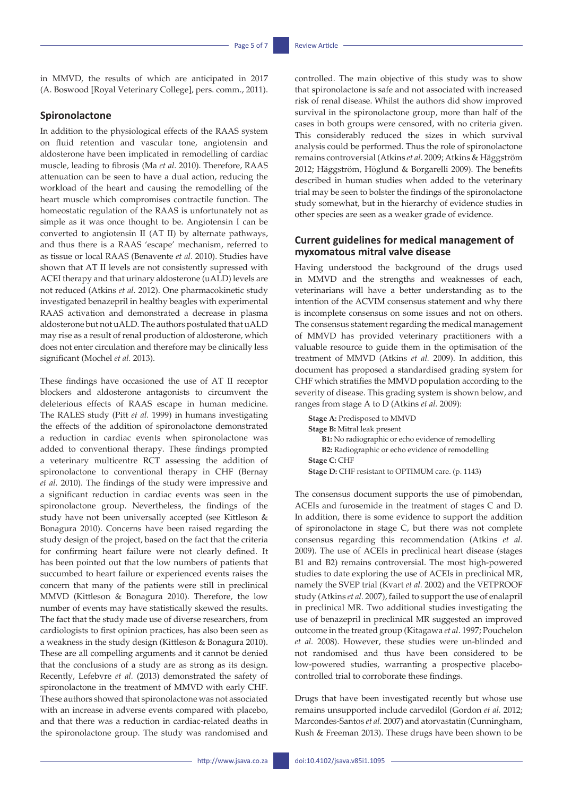in MMVD, the results of which are anticipated in 2017 (A. Boswood [Royal Veterinary College], pers. comm., 2011).

### **Spironolactone**

In addition to the physiological effects of the RAAS system on fluid retention and vascular tone, angiotensin and aldosterone have been implicated in remodelling of cardiac muscle, leading to fibrosis (Ma *et al.* 2010). Therefore, RAAS attenuation can be seen to have a dual action, reducing the workload of the heart and causing the remodelling of the heart muscle which compromises contractile function. The homeostatic regulation of the RAAS is unfortunately not as simple as it was once thought to be. Angiotensin I can be converted to angiotensin II (AT II) by alternate pathways, and thus there is a RAAS 'escape' mechanism, referred to as tissue or local RAAS (Benavente *et al.* 2010). Studies have shown that AT II levels are not consistently supressed with ACEI therapy and that urinary aldosterone (uALD) levels are not reduced (Atkins *et al.* 2012). One pharmacokinetic study investigated benazepril in healthy beagles with experimental RAAS activation and demonstrated a decrease in plasma aldosterone but not uALD. The authors postulated that uALD may rise as a result of renal production of aldosterone, which does not enter circulation and therefore may be clinically less significant (Mochel *et al.* 2013).

These findings have occasioned the use of AT II receptor blockers and aldosterone antagonists to circumvent the deleterious effects of RAAS escape in human medicine. The RALES study (Pitt *et al.* 1999) in humans investigating the effects of the addition of spironolactone demonstrated a reduction in cardiac events when spironolactone was added to conventional therapy. These findings prompted a veterinary multicentre RCT assessing the addition of spironolactone to conventional therapy in CHF (Bernay *et al.* 2010). The findings of the study were impressive and a significant reduction in cardiac events was seen in the spironolactone group. Nevertheless, the findings of the study have not been universally accepted (see Kittleson & Bonagura 2010). Concerns have been raised regarding the study design of the project, based on the fact that the criteria for confirming heart failure were not clearly defined. It has been pointed out that the low numbers of patients that succumbed to heart failure or experienced events raises the concern that many of the patients were still in preclinical MMVD (Kittleson & Bonagura 2010). Therefore, the low number of events may have statistically skewed the results. The fact that the study made use of diverse researchers, from cardiologists to first opinion practices, has also been seen as a weakness in the study design (Kittleson & Bonagura 2010). These are all compelling arguments and it cannot be denied that the conclusions of a study are as strong as its design. Recently, Lefebvre *et al.* (2013) demonstrated the safety of spironolactone in the treatment of MMVD with early CHF. These authors showed that spironolactone was not associated with an increase in adverse events compared with placebo, and that there was a reduction in cardiac-related deaths in the spironolactone group. The study was randomised and

controlled. The main objective of this study was to show that spironolactone is safe and not associated with increased risk of renal disease. Whilst the authors did show improved survival in the spironolactone group, more than half of the cases in both groups were censored, with no criteria given. This considerably reduced the sizes in which survival analysis could be performed. Thus the role of spironolactone remains controversial (Atkins *et al.* 2009; Atkins & Häggström 2012; Häggström, Höglund & Borgarelli 2009). The benefits described in human studies when added to the veterinary trial may be seen to bolster the findings of the spironolactone study somewhat, but in the hierarchy of evidence studies in other species are seen as a weaker grade of evidence.

### **Current guidelines for medical management of myxomatous mitral valve disease**

Having understood the background of the drugs used in MMVD and the strengths and weaknesses of each, veterinarians will have a better understanding as to the intention of the ACVIM consensus statement and why there is incomplete consensus on some issues and not on others. The consensus statement regarding the medical management of MMVD has provided veterinary practitioners with a valuable resource to guide them in the optimisation of the treatment of MMVD (Atkins *et al.* 2009). In addition, this document has proposed a standardised grading system for CHF which stratifies the MMVD population according to the severity of disease. This grading system is shown below, and ranges from stage A to D (Atkins *et al.* 2009):

**Stage A:** Predisposed to MMVD **Stage B:** Mitral leak present **B1:** No radiographic or echo evidence of remodelling **B2:** Radiographic or echo evidence of remodelling **Stage C:** CHF **Stage D:** CHF resistant to OPTIMUM care. (p. 1143)

The consensus document supports the use of pimobendan, ACEIs and furosemide in the treatment of stages C and D. In addition, there is some evidence to support the addition of spironolactone in stage C, but there was not complete consensus regarding this recommendation (Atkins *et al.*  2009). The use of ACEIs in preclinical heart disease (stages B1 and B2) remains controversial. The most high-powered studies to date exploring the use of ACEIs in preclinical MR, namely the SVEP trial (Kvart *et al.* 2002) and the VETPROOF study (Atkins *et al.* 2007), failed to support the use of enalapril in preclinical MR. Two additional studies investigating the use of benazepril in preclinical MR suggested an improved outcome in the treated group (Kitagawa *et al*. 1997; Pouchelon *et al.* 2008). However, these studies were un-blinded and not randomised and thus have been considered to be low-powered studies, warranting a prospective placebocontrolled trial to corroborate these findings.

Drugs that have been investigated recently but whose use remains unsupported include carvedilol (Gordon *et al.* 2012; Marcondes-Santos *et al.* 2007) and atorvastatin (Cunningham, Rush & Freeman 2013). These drugs have been shown to be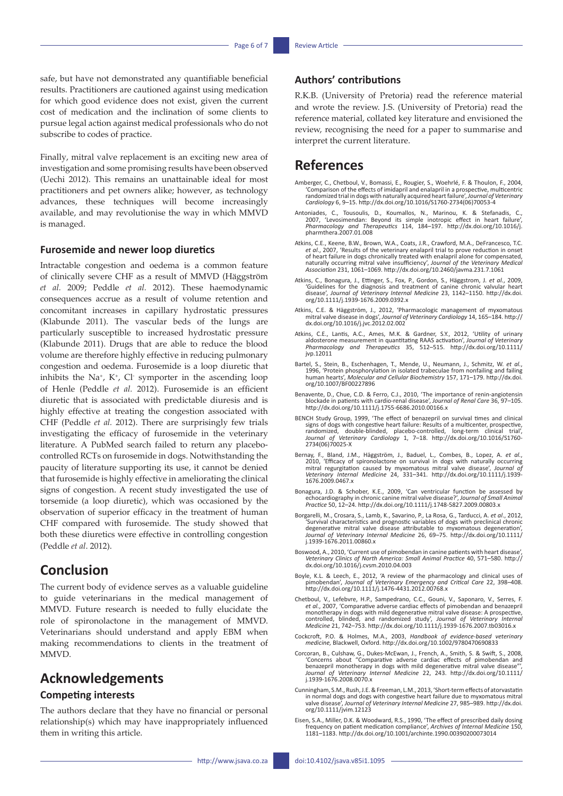safe, but have not demonstrated any quantifiable beneficial results. Practitioners are cautioned against using medication for which good evidence does not exist, given the current cost of medication and the inclination of some clients to pursue legal action against medical professionals who do not subscribe to codes of practice.

Finally, mitral valve replacement is an exciting new area of investigation and some promising results have been observed (Uechi 2012). This remains an unattainable ideal for most practitioners and pet owners alike; however, as technology advances, these techniques will become increasingly available, and may revolutionise the way in which MMVD is managed.

### **Furosemide and newer loop diuretics**

Intractable congestion and oedema is a common feature of clinically severe CHF as a result of MMVD (Häggström *et al.* 2009; Peddle *et al.* 2012). These haemodynamic consequences accrue as a result of volume retention and concomitant increases in capillary hydrostatic pressures (Klabunde 2011). The vascular beds of the lungs are particularly susceptible to increased hydrostatic pressure (Klabunde 2011). Drugs that are able to reduce the blood volume are therefore highly effective in reducing pulmonary congestion and oedema. Furosemide is a loop diuretic that inhibits the Na+, K+, Cl- symporter in the ascending loop of Henle (Peddle *et al.* 2012). Furosemide is an efficient diuretic that is associated with predictable diuresis and is highly effective at treating the congestion associated with CHF (Peddle *et al.* 2012). There are surprisingly few trials investigating the efficacy of furosemide in the veterinary literature. A PubMed search failed to return any placebocontrolled RCTs on furosemide in dogs. Notwithstanding the paucity of literature supporting its use, it cannot be denied that furosemide is highly effective in ameliorating the clinical signs of congestion. A recent study investigated the use of torsemide (a loop diuretic), which was occasioned by the observation of superior efficacy in the treatment of human CHF compared with furosemide. The study showed that both these diuretics were effective in controlling congestion (Peddle *et al*. 2012).

# **Conclusion**

The current body of evidence serves as a valuable guideline to guide veterinarians in the medical management of MMVD. Future research is needed to fully elucidate the role of spironolactone in the management of MMVD. Veterinarians should understand and apply EBM when making recommendations to clients in the treatment of MMVD.

# **Acknowledgements**

## **Competing interests**

The authors declare that they have no financial or personal relationship(s) which may have inappropriately influenced them in writing this article.

## **Authors' contributions**

R.K.B. (University of Pretoria) read the reference material and wrote the review. J.S. (University of Pretoria) read the reference material, collated key literature and envisioned the review, recognising the need for a paper to summarise and interpret the current literature.

# **References**

- Amberger, C., Chetboul, V., Bomassi, E., Rougier, S., Woehrlé, F. & Thoulon, F., 2004,<br>Comparison of the effects of imidapril and enalapril in a prospective, multicentric<br>randomized trial in dogs with naturally acquired he *Cardiology* 6, 9–15. [http://dx.doi.org/10.1016/S1760-2734\(06\)70053-4](http://dx.doi.org/10.1016/S1760-2734(06)70053-4)
- Antoniades, C., Tousoulis, D., Koumallos, N., Marinou, K. & Stefanadis, C., 2007, 'Levosimendan: Beyond its simple inotropic effect in heart failure/<br>2007, 'Levosimendan: Beyond its simple inotropic effect in heart failure [pharmthera.2007.01.008](http://dx.doi.org/10.1016/j.pharmthera.2007.01.008)
- Atkins, C.E., Keene, B.W., Brown, W.A., Coats, J.R., Crawford, M.A., DeFrancesco, T.C. *et al.,* 2007, 'Results of the veterinary enalapril trial to prove reduction in onset<br>of heart failure in dogs chronically treated with enalapril alone for compensated,<br>naturally occurring mitral valve insufficiency', Jo *Association* 231, 1061–1069.<http://dx.doi.org/10.2460/javma.231.7.1061>
- Atkins, C., Bonagura, J., Ettinger, S., Fox, P., Gordon, S., Häggstrom, J. *et al.*, 2009, 'Guidelines for the diagnosis and treatment of canine chronic valvular heart disease', *Journal of Veterinary Internal Medicine* 23, 1142–1150. [http://dx.doi.](http://dx.doi.org/10.1111/j.1939-1676.2009.0392.x) [org/10.1111/j.1939-1676.2009.0392.x](http://dx.doi.org/10.1111/j.1939-1676.2009.0392.x)
- Atkins, C.E. & Häggström, J., 2012, 'Pharmacologic management of myxomatous mitral valve disease in dogs', *Journal of Veterinary Cardiology* 14, 165–184. [http://](http://dx.doi.org/10.1016/j.jvc.2012.02.002) [dx.doi.org/10.1016/j.jvc.2012.02.002](http://dx.doi.org/10.1016/j.jvc.2012.02.002)
- Atkins, C.E., Lantis, A.C., Ames, M.K. & Gardner, S.Y., 2012, 'Utility of urinary aldosterone measurement in quantitating RAAS activation', *Journal of Veterinary Pharmacology and Therapeutics* 35, 512–515. [http://dx.doi.org/10.1111/](http://dx.doi.org/10.1111/jvp.12011) [jvp.12011](http://dx.doi.org/10.1111/jvp.12011)
- , Bartel, S., Stein, B., Eschenhagen, T., Mende, U., Neumann, J., Schmitz, W. et al.,<br>1996, 'Protein phosphorylation in isolated trabeculae from nonfailing and failing<br>1911-179. human hearts', Molecular and Cellular Bioche [org/10.1007/BF00227896](http://dx.doi.org/10.1007/BF00227896)
- Benavente, D., Chue, C.D. & Ferro, C.J., 2010, 'The importance of renin-angiotensin blockade in patients with cardio-renal disease', *Journal of Renal Care* 36, 97–105. <http://dx.doi.org/10.1111/j.1755-6686.2010.00166.x>
- BENCH Study Group, 1999, 'The effect of benazepril on survival times and clinical<br>signs of dogs with congestive heart failure: Results of a multicenter, prospective<br>randomized, double-blinded, placebo-controlled, long-term [2734\(06\)70025-X](http://dx.doi.org/10.1016/S1760-2734(06)70025-X)
- Bernay, F., Bland, J.M., Häggström, J., Baduel, L., Combes, B., Lopez, A. et al., 2010, 'Efficacy of spironolactone on survival in dogs with naturally occurring mitral regurgitation caused by myxomatous mitral valve diseas [1676.2009.0467.x](http://dx.doi.org/10.1111/j.1939-1676.2009.0467.x)
- Bonagura, J.D. & Schober, K.E., 2009, 'Can ventricular function be assessed by<br>echocardiography in chronic canine mitral valve disease?', Journal of Small Animal<br>Practice 50, 12-24. http://dx.doi.org/10.1111/j.1748-5827.20
- Borgarelli, M., Crosara, S., Lamb, K., Savarino, P., La Rosa, G., Tarducci, A. *et al*., 2012, 'Survival characteristics and prognostic variables of dogs with preclinical chronic degenerative mitral valve disease attributable to myxomatous degeneration', *Journal of Veterinary Internal Medicine* 26, 69–75. [http://dx.doi.org/10.1111/](http://dx.doi.org/10.1111/j.1939-1676.2011.00860.x) [j.1939-1676.2011.00860.x](http://dx.doi.org/10.1111/j.1939-1676.2011.00860.x)
- Boswood, A., 2010, 'Current use of pimobendan in canine patients with heart disease', *Veterinary Clinics of North America: Small Animal Practice* 40, 571–580. [http://](http://dx.doi.org/10.1016/j.cvsm.2010.04.003) [dx.doi.org/10.1016/j.cvsm.2010.04.003](http://dx.doi.org/10.1016/j.cvsm.2010.04.003)
- Boyle, K.L. & Leech, E., 2012, 'A review of the pharmacology and clinical uses of pimobendan', *Journal of Veterinary Emergency and Critical Care* 22, 398–408. <http://dx.doi.org/10.1111/j.1476-4431.2012.00768.x>
- Chetboul, V., Lefebvre, H.P., Sampedrano, C.C., Gouni, V., Saponaro, V., Serres, F. *et al.*, 2007, 'Comparative adverse cardiac effects of pimobendan and benazepril monotherapy in dogs with mild degenerative mitral valve disease: A prospective, controlled, blinded, and randomized study', *Journal of Veterinary Internal Medicine* 21, 742–753.<http://dx.doi.org/10.1111/j.1939-1676.2007.tb03016.x>
- Cockcroft, P.O. & Holmes, M.A., 2003, *Handbook of evidence-based veterinary medicine,* Blackwell, Oxford. <http://dx.doi.org/10.1002/9780470690833>
- Corcoran, B., Culshaw, G., Dukes-McEwan, J., French, A., Smith, S. & Swift, S., 2008, 'Concerns about "Comparative adverse cardiac effects of pimobendan and benazepril monotherapy in dogs with mild degenerative mitral valve disease"', *Journal of Veterinary Internal Medicine* 22, 243. [http://dx.doi.org/10.1111/](http://dx.doi.org/10.1111/j.1939-1676.2008.0070.x) [j.1939-1676.2008.0070.x](http://dx.doi.org/10.1111/j.1939-1676.2008.0070.x)
- Cunningham, S.M., Rush, J.E. & Freeman, L.M., 2013, 'Short-term effects of atorvastatin in normal dogs and dogs with congestive heart failure due to myxomatous mitral valve disease', *Journal of Veterinary Internal Medicine* 27, 985–989. [http://dx.doi.](http://dx.doi.org/10.1111/jvim.12123) [org/10.1111/jvim.12123](http://dx.doi.org/10.1111/jvim.12123)
- Eisen, S.A., Miller, D.K. & Woodward, R.S., 1990, 'The effect of prescribed daily dosing frequency on patient medication compliance', *Archives of Internal Medicine* 150, 1181–1183.<http://dx.doi.org/10.1001/archinte.1990.00390200073014>